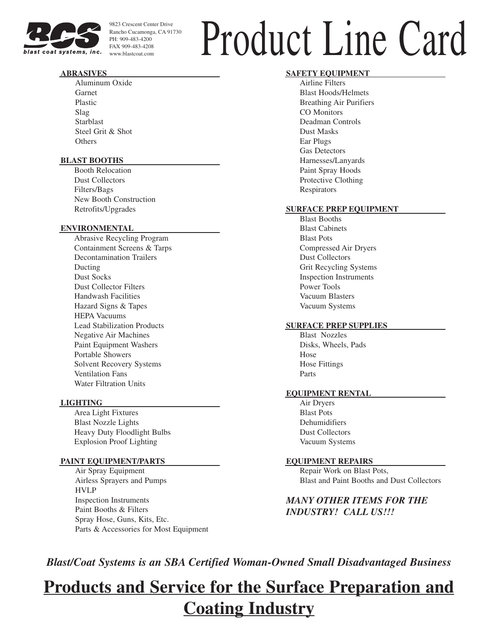

9823 Crescent Center Drive Rancho Cucamonga, CA 91730 PH: 909-483-4200 FAX 909-483-4208

# $\Gamma_{\text{Rancho Cucamonga, CA 91730}\atop FAX 909-483-4208}\ \text{prod of Center Diric Drive}\ \text{Product Line } \text{Line } \text{Card}$

#### **ABRASIVES**

Aluminum Oxide Garnet Plastic Slag Starblast Steel Grit & Shot **Others** 

#### **BLAST BOOTHS**

Booth Relocation Dust Collectors Filters/Bags New Booth Construction Retrofits/Upgrades

#### **ENVIRONMENTAL**

Abrasive Recycling Program Containment Screens & Tarps Decontamination Trailers Ducting Dust Socks Dust Collector Filters Handwash Facilities Hazard Signs & Tapes HEPA Vacuums Lead Stabilization Products Negative Air Machines Paint Equipment Washers Portable Showers Solvent Recovery Systems Ventilation Fans Water Filtration Units

#### **LIGHTING**

Area Light Fixtures Blast Nozzle Lights Heavy Duty Floodlight Bulbs Explosion Proof Lighting

#### **PAINT EQUIPMENT/PARTS**

Air Spray Equipment Airless Sprayers and Pumps HVLP Inspection Instruments Paint Booths & Filters Spray Hose, Guns, Kits, Etc. Parts & Accessories for Most Equipment

#### **SAFETY EQUIPMENT**

Airline Filters Blast Hoods/Helmets Breathing Air Purifiers CO Monitors Deadman Controls Dust Masks Ear Plugs Gas Detectors Harnesses/Lanyards Paint Spray Hoods Protective Clothing **Respirators** 

#### **SURFACE PREP EQUIPMENT**

Blast Booths Blast Cabinets Blast Pots Compressed Air Dryers Dust Collectors Grit Recycling Systems Inspection Instruments Power Tools Vacuum Blasters Vacuum Systems

#### **SURFACE PREP SUPPLIES**

Blast Nozzles Disks, Wheels, Pads Hose Hose Fittings Parts

#### **EQUIPMENT RENTAL**

Air Dryers Blast Pots Dehumidifiers Dust Collectors Vacuum Systems

#### **EQUIPMENT REPAIRS**

Repair Work on Blast Pots, Blast and Paint Booths and Dust Collectors

*MANY OTHER ITEMS FOR THE INDUSTRY! CALL US!!!*

*Blast/Coat Systems is an SBA Certified Woman-Owned Small Disadvantaged Business* 

## **Products and Service for the Surface Preparation and Coating Industry**